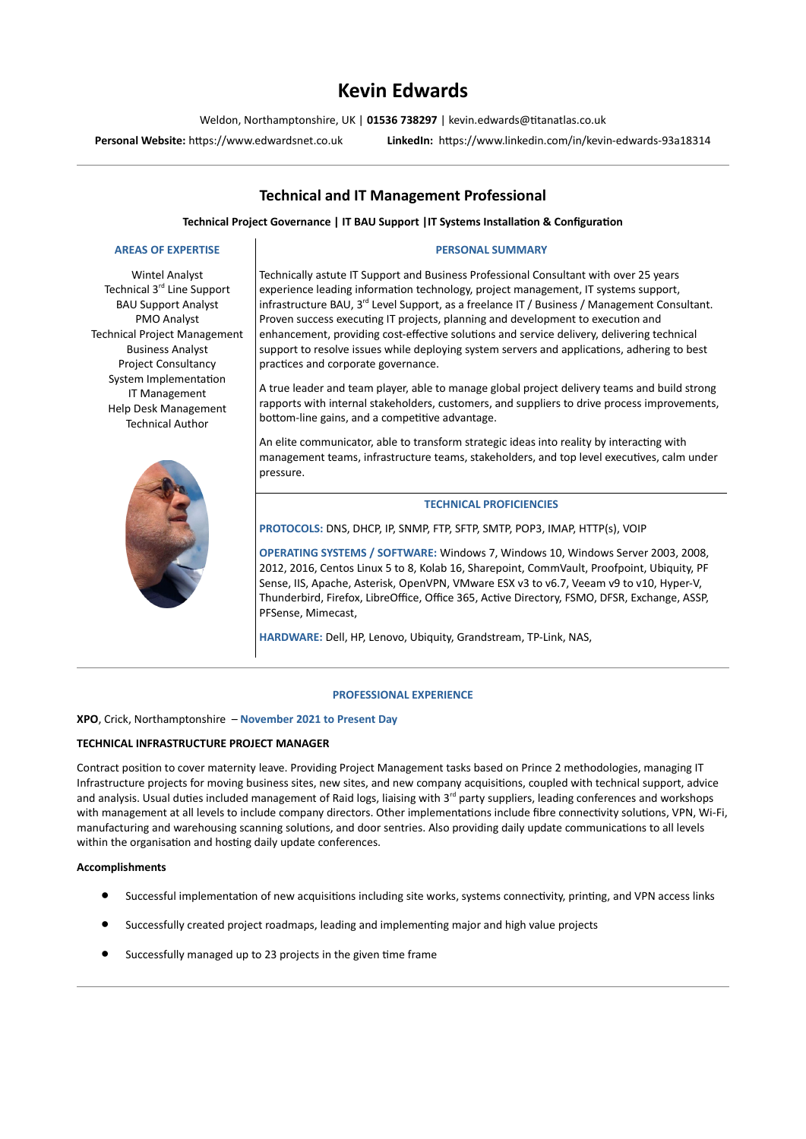# **Kevin Edwards**

Weldon, Northamptonshire, UK | **01536 738297** | kevin.edwards@titanatlas.co.uk

**Personal Website:** [https://www.edwardsnet.co.uk](https://www.edwardsnet.co.uk/) **LinkedIn:** <https://www.linkedin.com/in/kevin-edwards-93a18314>

# **Technical and IT Management Professional**

**Technical Project Governance | IT BAU Support |IT Systems Installation & Configuration**

# **AREAS OF EXPERTISE**

Wintel Analyst Technical 3<sup>rd</sup> Line Support BAU Support Analyst PMO Analyst Technical Project Management Business Analyst Project Consultancy System Implementation IT Management Help Desk Management Technical Author



# **PERSONAL SUMMARY**

Technically astute IT Support and Business Professional Consultant with over 25 years experience leading information technology, project management, IT systems support, infrastructure BAU, 3<sup>rd</sup> Level Support, as a freelance IT / Business / Management Consultant. Proven success executing IT projects, planning and development to execution and enhancement, providing cost-effective solutions and service delivery, delivering technical support to resolve issues while deploying system servers and applications, adhering to best practices and corporate governance.

A true leader and team player, able to manage global project delivery teams and build strong rapports with internal stakeholders, customers, and suppliers to drive process improvements, bottom-line gains, and a competitive advantage.

An elite communicator, able to transform strategic ideas into reality by interacting with management teams, infrastructure teams, stakeholders, and top level executives, calm under pressure.

# **TECHNICAL PROFICIENCIES**

**PROTOCOLS:** DNS, DHCP, IP, SNMP, FTP, SFTP, SMTP, POP3, IMAP, HTTP(s), VOIP

**OPERATING SYSTEMS / SOFTWARE:** Windows 7, Windows 10, Windows Server 2003, 2008, 2012, 2016, Centos Linux 5 to 8, Kolab 16, Sharepoint, CommVault, Proofpoint, Ubiquity, PF Sense, IIS, Apache, Asterisk, OpenVPN, VMware ESX v3 to v6.7, Veeam v9 to v10, Hyper-V, Thunderbird, Firefox, LibreOffice, Office 365, Active Directory, FSMO, DFSR, Exchange, ASSP, PFSense, Mimecast,

**HARDWARE:** Dell, HP, Lenovo, Ubiquity, Grandstream, TP-Link, NAS,

#### **PROFESSIONAL EXPERIENCE**

#### **XPO**, Crick, Northamptonshire – **November 2021 to Present Day**

## **TECHNICAL INFRASTRUCTURE PROJECT MANAGER**

Contract position to cover maternity leave. Providing Project Management tasks based on Prince 2 methodologies, managing IT Infrastructure projects for moving business sites, new sites, and new company acquisitions, coupled with technical support, advice and analysis. Usual duties included management of Raid logs, liaising with 3<sup>rd</sup> party suppliers, leading conferences and workshops with management at all levels to include company directors. Other implementations include fibre connectivity solutions, VPN, Wi-Fi, manufacturing and warehousing scanning solutions, and door sentries. Also providing daily update communications to all levels within the organisation and hosting daily update conferences.

# **Accomplishments**

- Successful implementation of new acquisitions including site works, systems connectivity, printing, and VPN access links
- Successfully created project roadmaps, leading and implementing major and high value projects
- Successfully managed up to 23 projects in the given time frame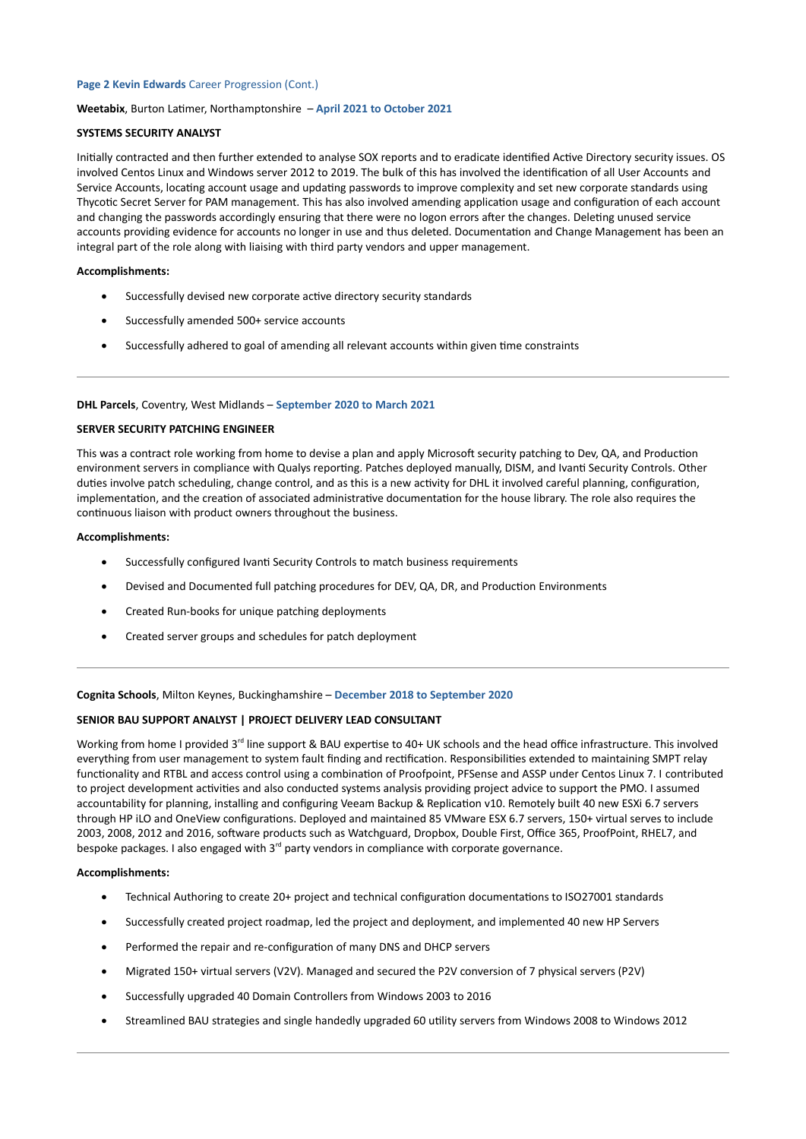# **Page 2 Kevin Edwards** Career Progression (Cont.)

#### **Weetabix**, Burton Latimer, Northamptonshire – **April 2021 to October 2021**

## **SYSTEMS SECURITY ANALYST**

Initially contracted and then further extended to analyse SOX reports and to eradicate identified Active Directory security issues. OS involved Centos Linux and Windows server 2012 to 2019. The bulk of this has involved the identification of all User Accounts and Service Accounts, locating account usage and updating passwords to improve complexity and set new corporate standards using Thycotic Secret Server for PAM management. This has also involved amending application usage and configuration of each account and changing the passwords accordingly ensuring that there were no logon errors after the changes. Deleting unused service accounts providing evidence for accounts no longer in use and thus deleted. Documentation and Change Management has been an integral part of the role along with liaising with third party vendors and upper management.

# **Accomplishments:**

- Successfully devised new corporate active directory security standards
- Successfully amended 500+ service accounts
- Successfully adhered to goal of amending all relevant accounts within given time constraints

#### **DHL Parcels**, Coventry, West Midlands – **September 2020 to March 2021**

#### **SERVER SECURITY PATCHING ENGINEER**

This was a contract role working from home to devise a plan and apply Microsoft security patching to Dev, QA, and Production environment servers in compliance with Qualys reporting. Patches deployed manually, DISM, and Ivanti Security Controls. Other duties involve patch scheduling, change control, and as this is a new activity for DHL it involved careful planning, configuration, implementation, and the creation of associated administrative documentation for the house library. The role also requires the continuous liaison with product owners throughout the business.

# **Accomplishments:**

- Successfully configured Ivanti Security Controls to match business requirements
- Devised and Documented full patching procedures for DEV, QA, DR, and Production Environments
- Created Run-books for unique patching deployments
- Created server groups and schedules for patch deployment

#### **Cognita Schools**, Milton Keynes, Buckinghamshire – **December 2018 to September 2020**

#### **SENIOR BAU SUPPORT ANALYST | PROJECT DELIVERY LEAD CONSULTANT**

Working from home I provided 3<sup>rd</sup> line support & BAU expertise to 40+ UK schools and the head office infrastructure. This involved everything from user management to system fault finding and rectification. Responsibilities extended to maintaining SMPT relay functionality and RTBL and access control using a combination of Proofpoint, PFSense and ASSP under Centos Linux 7. I contributed to project development activities and also conducted systems analysis providing project advice to support the PMO. I assumed accountability for planning, installing and configuring Veeam Backup & Replication v10. Remotely built 40 new ESXi 6.7 servers through HP iLO and OneView configurations. Deployed and maintained 85 VMware ESX 6.7 servers, 150+ virtual serves to include 2003, 2008, 2012 and 2016, software products such as Watchguard, Dropbox, Double First, Office 365, ProofPoint, RHEL7, and bespoke packages. I also engaged with  $3<sup>rd</sup>$  party vendors in compliance with corporate governance.

#### **Accomplishments:**

- Technical Authoring to create 20+ project and technical configuration documentations to ISO27001 standards
- Successfully created project roadmap, led the project and deployment, and implemented 40 new HP Servers
- Performed the repair and re-configuration of many DNS and DHCP servers
- Migrated 150+ virtual servers (V2V). Managed and secured the P2V conversion of 7 physical servers (P2V)
- Successfully upgraded 40 Domain Controllers from Windows 2003 to 2016
- Streamlined BAU strategies and single handedly upgraded 60 utility servers from Windows 2008 to Windows 2012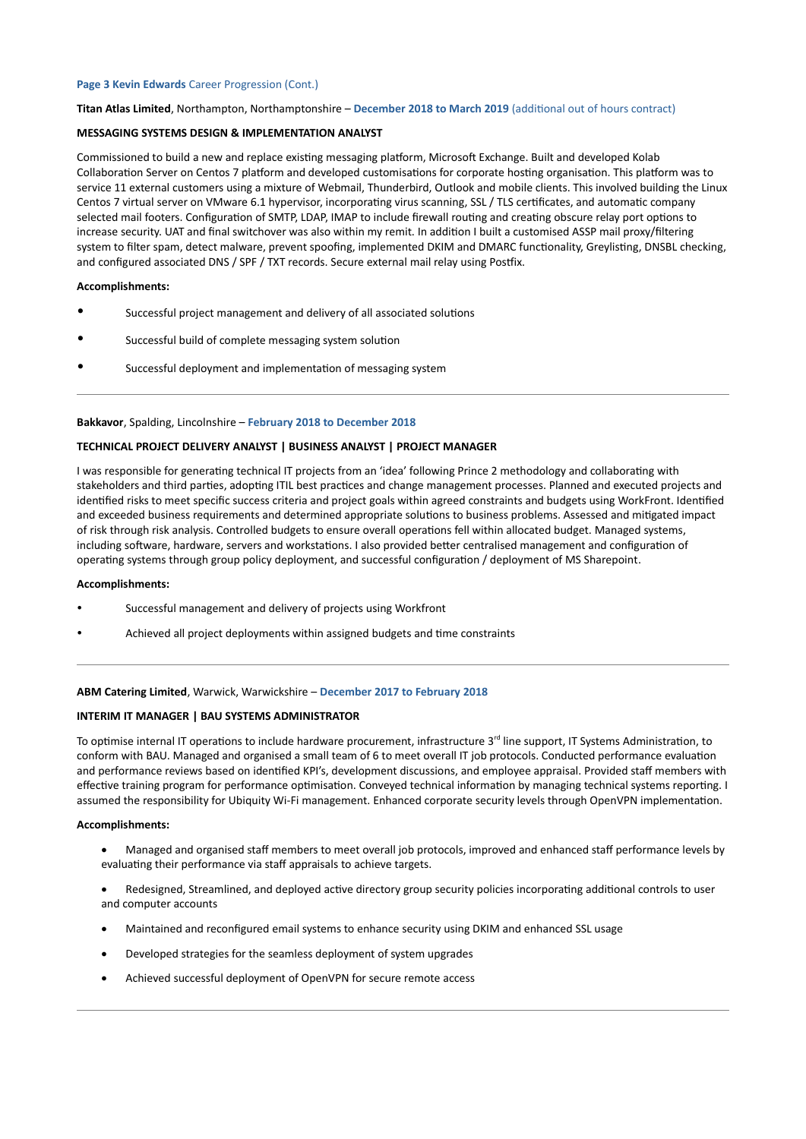# **Page 3 Kevin Edwards** Career Progression (Cont.)

#### **Titan Atlas Limited**, Northampton, Northamptonshire – **December 2018 to March 2019** (additional out of hours contract)

### **MESSAGING SYSTEMS DESIGN & IMPLEMENTATION ANALYST**

Commissioned to build a new and replace existing messaging platform, Microsoft Exchange. Built and developed Kolab Collaboration Server on Centos 7 platform and developed customisations for corporate hosting organisation. This platform was to service 11 external customers using a mixture of Webmail, Thunderbird, Outlook and mobile clients. This involved building the Linux Centos 7 virtual server on VMware 6.1 hypervisor, incorporating virus scanning, SSL / TLS certificates, and automatic company selected mail footers. Configuration of SMTP, LDAP, IMAP to include firewall routing and creating obscure relay port options to increase security. UAT and final switchover was also within my remit. In addition I built a customised ASSP mail proxy/filtering system to filter spam, detect malware, prevent spoofing, implemented DKIM and DMARC functionality, Greylisting, DNSBL checking, and configured associated DNS / SPF / TXT records. Secure external mail relay using Postfix.

#### **Accomplishments:**

- Successful project management and delivery of all associated solutions
- Successful build of complete messaging system solution
- Successful deployment and implementation of messaging system

#### **Bakkavor**, Spalding, Lincolnshire – **February 2018 to December 2018**

#### **TECHNICAL PROJECT DELIVERY ANALYST | BUSINESS ANALYST | PROJECT MANAGER**

I was responsible for generating technical IT projects from an 'idea' following Prince 2 methodology and collaborating with stakeholders and third parties, adopting ITIL best practices and change management processes. Planned and executed projects and identified risks to meet specific success criteria and project goals within agreed constraints and budgets using WorkFront. Identified and exceeded business requirements and determined appropriate solutions to business problems. Assessed and mitigated impact of risk through risk analysis. Controlled budgets to ensure overall operations fell within allocated budget. Managed systems, including software, hardware, servers and workstations. I also provided better centralised management and configuration of operating systems through group policy deployment, and successful configuration / deployment of MS Sharepoint.

#### **Accomplishments:**

- Successful management and delivery of projects using Workfront
- Achieved all project deployments within assigned budgets and time constraints

#### **ABM Catering Limited**, Warwick, Warwickshire – **December 2017 to February 2018**

#### **INTERIM IT MANAGER | BAU SYSTEMS ADMINISTRATOR**

To optimise internal IT operations to include hardware procurement, infrastructure 3<sup>rd</sup> line support, IT Systems Administration, to conform with BAU. Managed and organised a small team of 6 to meet overall IT job protocols. Conducted performance evaluation and performance reviews based on identified KPI's, development discussions, and employee appraisal. Provided staff members with effective training program for performance optimisation. Conveyed technical information by managing technical systems reporting. I assumed the responsibility for Ubiquity Wi-Fi management. Enhanced corporate security levels through OpenVPN implementation.

#### **Accomplishments:**

- Managed and organised staff members to meet overall job protocols, improved and enhanced staff performance levels by evaluating their performance via staff appraisals to achieve targets.
- Redesigned, Streamlined, and deployed active directory group security policies incorporating additional controls to user and computer accounts
- Maintained and reconfigured email systems to enhance security using DKIM and enhanced SSL usage
- Developed strategies for the seamless deployment of system upgrades
- Achieved successful deployment of OpenVPN for secure remote access